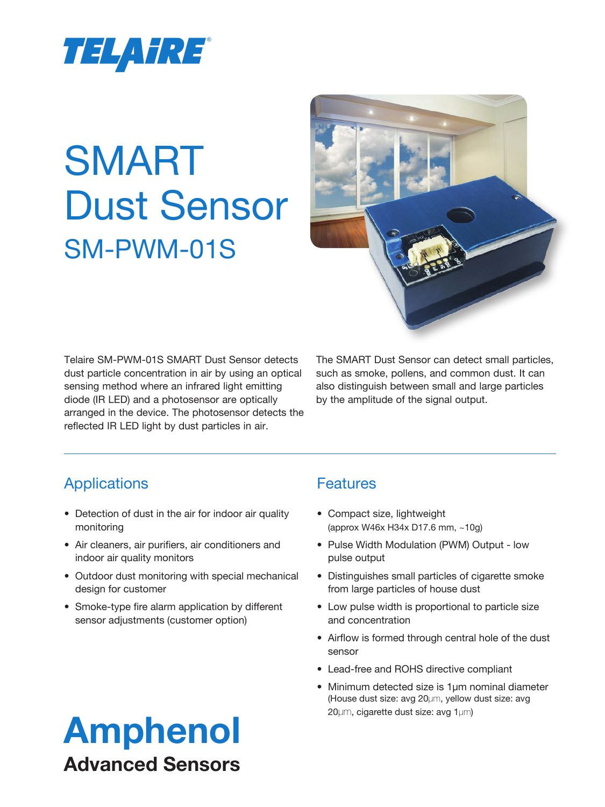

# SMART Dust Sensor SM-PWM-01S



Telaire SM-PWM-01S SMART Dust Sensor detects dust particle concentration in air by using an optical sensing method where an infrared light emitting diode (IR LED) and a photosensor are optically arranged in the device. The photosensor detects the reflected IR LED light by dust particles in air.

The SMART Dust Sensor can detect small particles, such as smoke, pollens, and common dust. It can also distinguish between small and large particles by the amplitude of the signal output.

# Applications

- Detection of dust in the air for indoor air quality monitoring
- Air cleaners, air purifiers, air conditioners and indoor air quality monitors
- Outdoor dust monitoring with special mechanical design for customer
- Smoke-type fire alarm application by different sensor adjustments (customer option)

# **Features**

- Compact size, lightweight (approx W46x H34x D17.6 mm, ~10g)
- Pulse Width Modulation (PWM) Output low pulse output
- Distinguishes small particles of cigarette smoke from large particles of house dust
- Low pulse width is proportional to particle size and concentration
- Airflow is formed through central hole of the dust sensor
- Lead-free and ROHS directive compliant
- Minimum detected size is 1µm nominal diameter (House dust size: avg 20µm, yellow dust size: avg 20µm, cigarette dust size: avg 1µm)

# Amphenol Advanced Sensors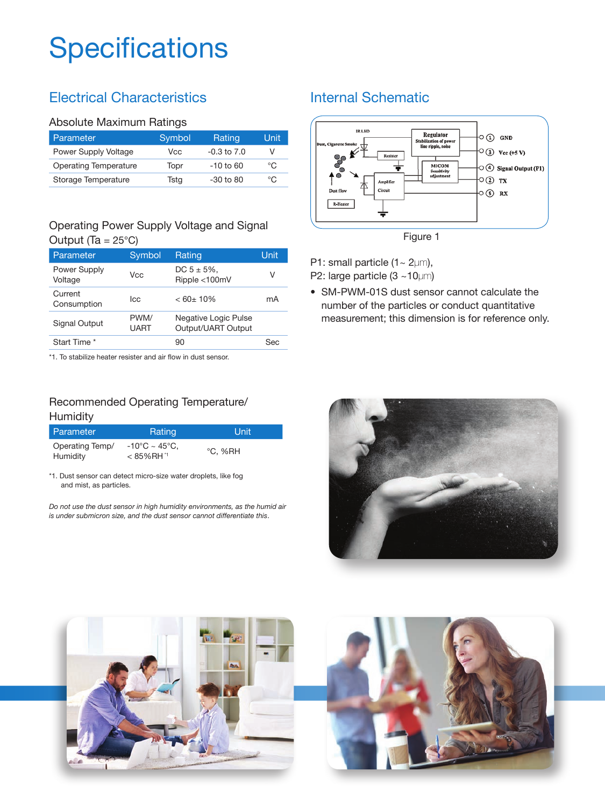# **Specifications**

# Electrical Characteristics

#### Absolute Maximum Ratings

| Parameter             | Symbol | Rating          | Unit |
|-----------------------|--------|-----------------|------|
| Power Supply Voltage  | Vcc    | $-0.3$ to $7.0$ |      |
| Operating Temperature | Topr   | $-10$ to 60     | °C   |
| Storage Temperature   | Tsta   | $-30$ to $80$   | °C   |

#### Operating Power Supply Voltage and Signal Output  $(Ta = 25^{\circ}C)$

| Parameter               | Symbol              | Rating                                     | Unit |
|-------------------------|---------------------|--------------------------------------------|------|
| Power Supply<br>Voltage | Vcc                 | $DC 5 \pm 5\%$ .<br>Ripple <100mV          | V    |
| Current<br>Consumption  | lcc                 | $< 60 \pm 10\%$                            | mA   |
| Signal Output           | PWM/<br><b>UART</b> | Negative Logic Pulse<br>Output/UART Output |      |
| Start Time *            |                     | 90                                         | Sec  |

\*1. To stabilize heater resister and air flow in dust sensor.

#### Recommended Operating Temperature/ Humidity

| l Parameter                 | Rating                                              | Unit    |
|-----------------------------|-----------------------------------------------------|---------|
| Operating Temp/<br>Humidity | $-10^{\circ}$ C ~ 45°C.<br>$< 85\%$ RH <sup>1</sup> | °C. %RH |

\*1. Dust sensor can detect micro-size water droplets, like fog and mist, as particles.

*Do not use the dust sensor in high humidity environments, as the humid air is under submicron size, and the dust sensor cannot differentiate this*.

## Internal Schematic



P1: small particle (1~ 2µm), P2: large particle (3 ~10µm)

• SM-PWM-01S dust sensor cannot calculate the number of the particles or conduct quantitative measurement; this dimension is for reference only.



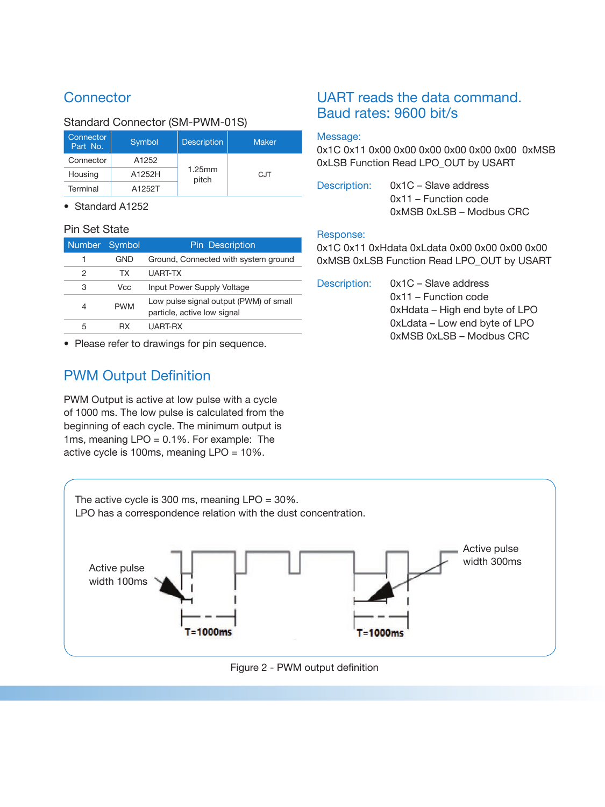# **Connector**

#### Standard Connector (SM-PWM-01S)

| Connector<br>Part No. | Symbol | <b>Description</b> | <b>Maker</b> |
|-----------------------|--------|--------------------|--------------|
| Connector             | A1252  |                    |              |
| Housing               | A1252H | 1.25mm<br>pitch    | <b>CJT</b>   |
| Terminal              | A1252T |                    |              |

• Standard A1252

#### Pin Set State

| Number Symbol |            | <b>Pin Description</b>                                                |
|---------------|------------|-----------------------------------------------------------------------|
| 1             | GND        | Ground, Connected with system ground                                  |
| 2             | TX.        | UART-TX                                                               |
| 3             | Vcc        | Input Power Supply Voltage                                            |
| 4             | <b>PWM</b> | Low pulse signal output (PWM) of small<br>particle, active low signal |
| 5             | RX         | UART-RX                                                               |

• Please refer to drawings for pin sequence.

# PWM Output Definition

PWM Output is active at low pulse with a cycle of 1000 ms. The low pulse is calculated from the beginning of each cycle. The minimum output is 1ms, meaning LPO = 0.1%. For example: The active cycle is 100ms, meaning LPO = 10%.

### UART reads the data command. Baud rates: 9600 bit/s

#### Message:

0x1C 0x11 0x00 0x00 0x00 0x00 0x00 0x00 0xMSB 0xLSB Function Read LPO\_OUT by USART

| Description: | $0x1C -$ Slave address   |
|--------------|--------------------------|
|              | 0x11 – Function code     |
|              | 0xMSB 0xLSB - Modbus CRC |

#### Response:

0x1C 0x11 0xHdata 0xLdata 0x00 0x00 0x00 0x00 0xMSB 0xLSB Function Read LPO\_OUT by USART

| Description: | $0x1C -$ Slave address         |
|--------------|--------------------------------|
|              | $0x11$ – Function code         |
|              | 0xHdata – High end byte of LPO |
|              | 0xLdata - Low end byte of LPO  |
|              | 0xMSB 0xLSB - Modbus CRC       |



Figure 2 - PWM output definition